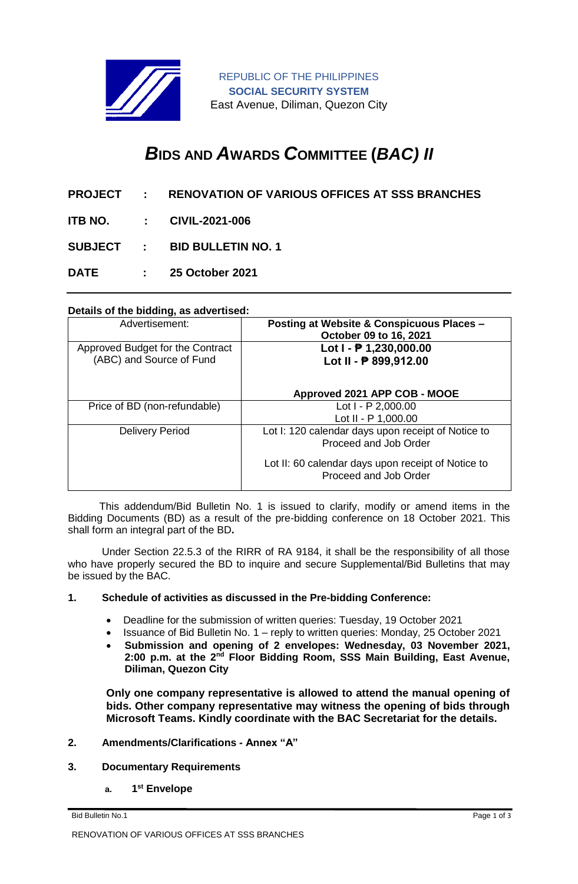

REPUBLIC OF THE PHILIPPINES **SOCIAL SECURITY SYSTEM** East Avenue, Diliman, Quezon City

# *B***IDS AND** *A***WARDS** *C***OMMITTEE (***BAC) II*

- **PROJECT : RENOVATION OF VARIOUS OFFICES AT SSS BRANCHES**
- **ITB NO. : CIVIL-2021-006**

**SUBJECT : BID BULLETIN NO. 1**

**DATE : 25 October 2021**

#### **Details of the bidding, as advertised:**

| Advertisement:                                               | <b>Posting at Website &amp; Conspicuous Places -</b><br>October 09 to 16, 2021 |
|--------------------------------------------------------------|--------------------------------------------------------------------------------|
| Approved Budget for the Contract<br>(ABC) and Source of Fund | Lot $I - P 1,230,000.00$<br>Lot II - ₱ 899,912.00                              |
|                                                              | Approved 2021 APP COB - MOOE                                                   |
| Price of BD (non-refundable)                                 | Lot $I - P$ 2,000.00                                                           |
|                                                              | Lot II - P 1,000.00                                                            |
| <b>Delivery Period</b>                                       | Lot I: 120 calendar days upon receipt of Notice to<br>Proceed and Job Order    |
|                                                              | Lot II: 60 calendar days upon receipt of Notice to<br>Proceed and Job Order    |

 This addendum/Bid Bulletin No. 1 is issued to clarify, modify or amend items in the Bidding Documents (BD) as a result of the pre-bidding conference on 18 October 2021. This shall form an integral part of the BD**.**

Under Section 22.5.3 of the RIRR of RA 9184, it shall be the responsibility of all those who have properly secured the BD to inquire and secure Supplemental/Bid Bulletins that may be issued by the BAC.

#### **1. Schedule of activities as discussed in the Pre-bidding Conference:**

- Deadline for the submission of written queries: Tuesday, 19 October 2021
- Issuance of Bid Bulletin No. 1 reply to written queries: Monday, 25 October 2021
- **Submission and opening of 2 envelopes: Wednesday, 03 November 2021, 2:00 p.m. at the 2nd Floor Bidding Room, SSS Main Building, East Avenue, Diliman, Quezon City**

**Only one company representative is allowed to attend the manual opening of bids. Other company representative may witness the opening of bids through Microsoft Teams. Kindly coordinate with the BAC Secretariat for the details.**

## **2. Amendments/Clarifications - Annex "A"**

#### **3. Documentary Requirements**

**a. 1 st Envelope**

Bid Bulletin No.1 Page 1 of 3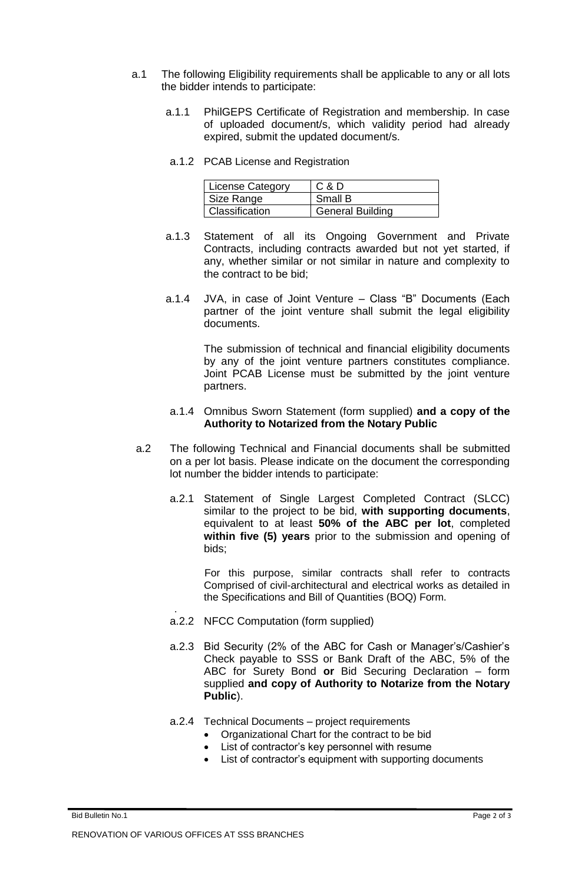- a.1 The following Eligibility requirements shall be applicable to any or all lots the bidder intends to participate:
	- a.1.1 PhilGEPS Certificate of Registration and membership. In case of uploaded document/s, which validity period had already expired, submit the updated document/s.
	- a.1.2 PCAB License and Registration

| License Category | C & D                   |
|------------------|-------------------------|
| Size Range       | Small B                 |
| Classification   | <b>General Building</b> |

- a.1.3 Statement of all its Ongoing Government and Private Contracts, including contracts awarded but not yet started, if any, whether similar or not similar in nature and complexity to the contract to be bid;
- a.1.4 JVA, in case of Joint Venture Class "B" Documents (Each partner of the joint venture shall submit the legal eligibility documents.

The submission of technical and financial eligibility documents by any of the joint venture partners constitutes compliance. Joint PCAB License must be submitted by the joint venture partners.

## a.1.4 Omnibus Sworn Statement (form supplied) **and a copy of the Authority to Notarized from the Notary Public**

- a.2 The following Technical and Financial documents shall be submitted on a per lot basis. Please indicate on the document the corresponding lot number the bidder intends to participate:
	- a.2.1 Statement of Single Largest Completed Contract (SLCC) similar to the project to be bid, **with supporting documents**, equivalent to at least **50% of the ABC per lot**, completed **within five (5) years** prior to the submission and opening of bids;

For this purpose, similar contracts shall refer to contracts Comprised of civil-architectural and electrical works as detailed in the Specifications and Bill of Quantities (BOQ) Form.

- a.2.2 NFCC Computation (form supplied)
- a.2.3 Bid Security (2% of the ABC for Cash or Manager's/Cashier's Check payable to SSS or Bank Draft of the ABC, 5% of the ABC for Surety Bond **or** Bid Securing Declaration – form supplied **and copy of Authority to Notarize from the Notary Public**).
- a.2.4 Technical Documents project requirements
	- Organizational Chart for the contract to be bid
	- List of contractor's key personnel with resume<br>• List of contractor's equipment with supporting
	- List of contractor's equipment with supporting documents

.